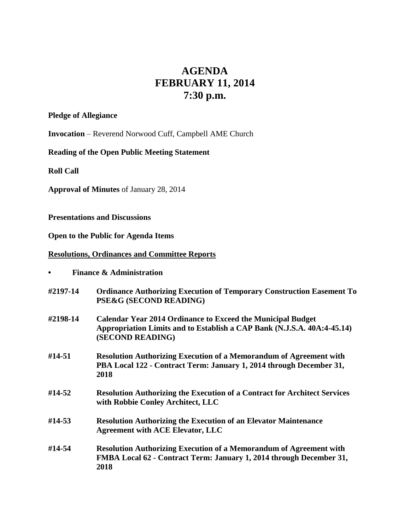# **AGENDA FEBRUARY 11, 2014 7:30 p.m.**

#### **Pledge of Allegiance**

**Invocation** – Reverend Norwood Cuff, Campbell AME Church

## **Reading of the Open Public Meeting Statement**

**Roll Call**

**Approval of Minutes** of January 28, 2014

## **Presentations and Discussions**

**Open to the Public for Agenda Items**

## **Resolutions, Ordinances and Committee Reports**

|  |  | <b>Finance &amp; Administration</b> |
|--|--|-------------------------------------|
|--|--|-------------------------------------|

- **#2197-14 Ordinance Authorizing Execution of Temporary Construction Easement To PSE&G (SECOND READING)**
- **#2198-14 Calendar Year 2014 Ordinance to Exceed the Municipal Budget Appropriation Limits and to Establish a CAP Bank (N.J.S.A. 40A:4-45.14) (SECOND READING)**
- **#14-51 Resolution Authorizing Execution of a Memorandum of Agreement with PBA Local 122 - Contract Term: January 1, 2014 through December 31, 2018**
- **#14-52 Resolution Authorizing the Execution of a Contract for Architect Services with Robbie Conley Architect, LLC**
- **#14-53 Resolution Authorizing the Execution of an Elevator Maintenance Agreement with ACE Elevator, LLC**
- **#14-54 Resolution Authorizing Execution of a Memorandum of Agreement with FMBA Local 62 - Contract Term: January 1, 2014 through December 31, 2018**